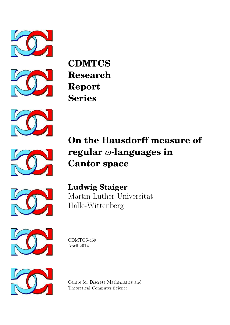



**CDMTCS Research Report Series**







**Ludwig Staiger** Martin-Luther-Universität Halle-Wittenberg



CDMTCS-459 April 2014



Centre for Discrete Mathematics and Theoretical Computer Science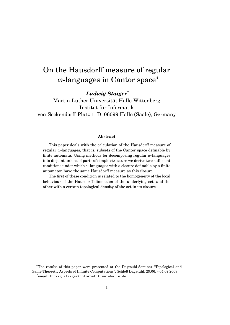# On the Hausdorff measure of regular *ω*-languages in Cantor space<sup>∗</sup>

*Ludwig Staiger*†

Martin-Luther-Universität Halle-Wittenberg Institut für Informatik von-Seckendorff-Platz 1, D–06099 Halle (Saale), Germany

#### **Abstract**

This paper deals with the calculation of the Hausdorff measure of regular *ω*-languages, that is, subsets of the Cantor space definable by finite automata. Using methods for decomposing regular *ω*-languages into disjoint unions of parts of simple structure we derive two sufficient conditions under which *ω*-languages with a closure definable by a finite automaton have the same Hausdorff measure as this closure.

The first of these condition is related to the homogeneity of the local behaviour of the Hausdorff dimension of the underlying set, and the other with a certain topological density of the set in its closure.

<sup>∗</sup>The results of this paper were presented at the Dagstuhl-Seminar "Topological and Game-Theoretic Aspects of Infinite Computations", Schloß Dagstuhl, 29.06. - 04.07.2008  $^\dagger$ email: ludwig.staiger@informatik.uni-halle.de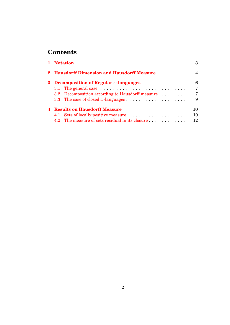## **Contents**

| 1 Notation                                     |                                                                                          | 3   |
|------------------------------------------------|------------------------------------------------------------------------------------------|-----|
|                                                | 2 Hausdorff Dimension and Hausdorff Measure                                              | 4   |
| 3 Decomposition of Regular $\omega$ -languages |                                                                                          | 6   |
|                                                | 3.1 The general case $\dots \dots \dots \dots \dots \dots \dots \dots \dots \dots \dots$ | - 7 |
|                                                |                                                                                          |     |
|                                                |                                                                                          |     |
| <b>4 Results on Hausdorff Measure</b>          |                                                                                          | 10  |
|                                                | 4.1 Sets of locally positive measure                                                     | -10 |
|                                                | 4.2 The measure of sets residual in its closure 12                                       |     |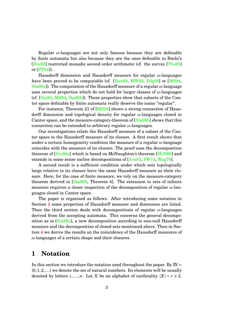Regular *ω*-languages are not only famous because they are definable by finite automata but also because they are the ones definable in Büchi's [\[Büc62\]](#page-14-0) restricted monadic second order arithmetic (cf. the survey [\[Tho90\]](#page-15-0) or [\[PP04\]](#page-15-1)).

Hausdorff dimension and Hausdorff measure for regular *ω*-languages have been proved to be computable (cf. [\[Ban89,](#page-14-1) [MW88,](#page-15-2) [Edg08\]](#page-14-2) or [\[MS94,](#page-15-3) [Sta98a\]](#page-15-4)). The computation of the Hausdorff measure of a regular *ω*-language uses several properties which do not hold for larger classes of *ω*-languages (cf. [\[Sta93,](#page-15-5) [MS94,](#page-15-3) [Sta98b\]](#page-15-6)). These properties show that subsets of the Cantor space definable by finite automata really deserve the name "regular".

For instance, Theorem 21 of [\[MS94\]](#page-15-3) shows a strong connection of Hausdorff dimension and topological density for regular *ω*-languages closed in Cantor space, and the measure-category-theorem of [\[Sta98b\]](#page-15-6) shows that this connection can be extended to arbitrary regular *ω*-languages.

Our investigations relate the Hausdorff measure of a subset of the Cantor space to the Hausdorff measure of its closure. A first result shows that under a certain homogeneity condition the measure of a regular *ω*-language coincides with the measure of its closure. The proof uses the decomposition theorem of [\[Sta98a\]](#page-15-4) which is based on McNaughton's theorem [\[McN66\]](#page-14-3) and extends in some sense earlier decompositions of [\[Arn83,](#page-14-4) [SW74,](#page-15-7) [Wag79\]](#page-16-0).

A second result is a sufficient condition under which sets topologically large relative to its closure have the same Hausdorff measure as their closure. Here, for the case of finite measure, we rely on the measure-category theorem derived in [\[Sta98b,](#page-15-6) Theorem 4]. The extension to sets of infinite measure requires a closer inspection of the decomposition of regular *ω*-languages closed in Cantor space.

The paper is organised as follows. After introducing some notation in Section [2](#page-4-0) some properties of Hausdorff measure and dimension are listed. Then the third section deals with decompositions of regular *ω*-languages derived from the accepting automata. This concerns the general decompo-sition as in [\[Sta98a\]](#page-15-4), a new decomposition according to non-null Hausdorff measure and the decomposition of closed sets mentioned above. Then in Section [4](#page-10-0) we derive the results on the coincidence of the Hausdorff measures of *ω*-languages of a certain shape and their closures.

## <span id="page-3-0"></span>**1 Notation**

In this section we introduce the notation used throughout the paper. By  $\mathbb{N} =$  $\{0,1,2,\ldots\}$  we denote the set of natural numbers. Its elements will be usually denoted by letters  $i, \ldots, n$ . Let *X* be an alphabet of cardinality  $|X| = r \ge 2$ .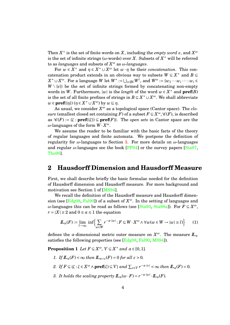Then  $X^*$  is the set of finite words on  $X$ , including the *empty word*  $e$ , and  $X^{\omega}$ is the set of infinite strings ( $\omega$ -words) over *X*. Subsets of  $X^*$  will be referred to as *languages* and subsets of *X <sup>ω</sup>* as *ω-languages*.

For  $w \in X^*$  and  $\eta \in X^* \cup X^{\omega}$  let  $w \cdot \eta$  be their *concatenation*. This concatenation product extends in an obvious way to subsets  $W \subseteq X^*$  and  $B \subseteq$  $X^*\cup X^\omega$ . For a language  $W$  let  $W^*:=\bigcup_{i\in{\rm IN}}W^i,$  and  $W^\omega:=\{w_1\cdots w_i\cdots:w_i\in{\mathbb N}\}$  $W \setminus \{e\}$  be the set of infinite strings formed by concatenating non-empty words in *W*. Furthermore, |*w*| is the *length* of the word  $w \in X^*$  and  $\textbf{pref}(B)$ is the set of all finite prefixes of strings in  $B \subseteq X^* \cup X^{\omega}$ . We shall abbreviate  $w \in \textbf{pref}(\{\eta\})$   $(\eta \in X^* \cup X^{\omega})$  by  $w \sqsubseteq \eta$ .

As usual, we consider  $X^{\omega}$  as a topological space (Cantor space). The *closure* (smallest closed set containing *F*) of a subset  $F \subseteq X^\omega$ ,  $\mathscr{C}(F)$ , is described as  $\mathscr{C}(F) := {\xi : \textbf{pref}(\{\xi\}) \subseteq \textbf{pref}(F)}$ . The *open sets* in Cantor space are the *ω*-languages of the form *W* · *X ω*.

We assume the reader to be familiar with the basic facts of the theory of regular languages and finite automata. We postpone the definition of regularity for *ω*-languages to Section [3.](#page-6-0) For more details on *ω*-languages and regular  $\omega$ -languages see the book [\[PP04\]](#page-15-1) or the survey papers [\[Sta97,](#page-15-8) [Tho90\]](#page-15-0).

## <span id="page-4-0"></span>**2 Hausdorff Dimension and Hausdorff Measure**

First, we shall describe briefly the basic formulae needed for the definition of Hausdorff dimension and Hausdorff measure. For more background and motivation see Section 1 of [\[MS94\]](#page-15-3).

We recall the definition of the Hausdorff measure and Hausdorff dimension (see [ $Edg08$ ,  $Fal90$ ]) of a subset of  $X^{\omega}$ . In the setting of languages and *ω*-languages this can be read as follows (see [\[Sta93,](#page-15-5) [Sta98a\]](#page-15-4)). For *F* ⊆ *X ω*,  $r = |X| \geq 2$  and  $0 \leq \alpha \leq 1$  the equation

<span id="page-4-1"></span>
$$
\underline{I\!I}_{\alpha}(F) := \lim_{l \to \infty} \inf \Biggl\{ \sum_{w \in W} r^{-\alpha \cdot |w|} : F \subseteq W \cdot X^{\omega} \wedge \forall w (w \in W \to |w| \ge l) \Biggr\} \tag{1}
$$

defines the *α*-dimensional metric outer measure on  $X^{\omega}$ . The measure  $I\!I_{\alpha}$ satisfies the following properties (see [\[Edg08,](#page-14-2) [Fal90,](#page-14-5) [MS94\]](#page-15-3)).

**Proposition 1** *Let*  $F \subseteq X^{\omega}$ ,  $V \subseteq X^*$  *and*  $\alpha \in [0,1]$ *.* 

- *1. If*  $\mathbb{L}_{\alpha}(F) < \infty$  *then*  $\mathbb{L}_{\alpha+\epsilon}(F) = 0$  *for all*  $\epsilon > 0$ *.*
- <span id="page-4-3"></span>*2. If*  $F \subseteq \{\xi : \xi \in X^{\omega} \land \textbf{pref}(\xi) \subseteq V\}$  *and*  $\sum_{v \in V} r^{-\alpha \cdot |v|} < \infty$  *then*  $\mathbb{L}_{\alpha}(F) = 0$ *.*
- <span id="page-4-2"></span>*3. It holds the scaling property*  $I\!I\!I_{\alpha}(w \cdot F) = r^{-\alpha \cdot |w|} \cdot I\!I_{\alpha}(F)$ .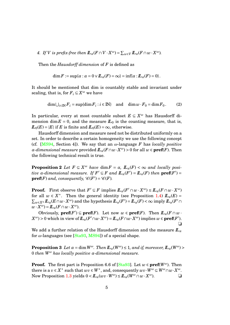<span id="page-5-0"></span>*4. If V is prefix-free then*  $\mathbf{L}_{\alpha}(F \cap V \cdot X^{\omega}) = \sum_{w \in V} \mathbf{L}_{\alpha}(F \cap w \cdot X^{\omega})$ *.* 

Then the *Hausdorff dimension* of *F* is defined as

$$
\dim F := \sup \{ \alpha : \alpha = 0 \vee I\!\!L_{\alpha}(F) = \infty \} = \inf \{ \alpha : I\!\!L_{\alpha}(F) = 0 \}.
$$

It should be mentioned that dim is countably stable and invariant under scaling, that is, for  $F_i \subseteq X^\omega$  we have

$$
\dim \bigcup_{i \in \mathbb{N}} F_i = \sup \{ \dim F_i : i \in \mathbb{N} \} \quad \text{and} \quad \dim w \cdot F_0 = \dim F_0. \tag{2}
$$

In particular, every at most countable subset  $E \subseteq X^{\omega}$  has Hausdorff dimension dim  $E = 0$ , and the measure  $L_0$  is the counting measure, that is,  $I\!L_0(E) = |E|$  if *E* is finite and  $I\!L_0(E) = \infty$ , otherwise.

Hausdorff dimension and measure need not be distributed uniformly on a set. In order to describe a certain homogeneity we use the following concept (cf. [\[MS94,](#page-15-3) Section 4]). We say that an *ω*-language *F* has *locally positive α-dimensional measure* provided  $I\!I\!I_{\alpha}(F \cap w \cdot X^{\omega}) > 0$  for all  $w \in \textbf{pref}(F)$ . Then the following technical result is true.

<span id="page-5-1"></span>**Proposition 2** *Let*  $F \subseteq X^{\omega}$  *have* dim $F = \alpha$ *,*  $\mathbb{L}_{\alpha}(F) < \infty$  *and locally positive*  $\alpha$ -dimensional measure. If  $F' \subseteq F$  and  $\mathbb{L}_{\alpha}(F') = \mathbb{L}_{\alpha}(F)$  then  $\mathbf{pref}(F') =$  $\mathbf{pref}(F)$  and, consequently,  $\mathcal{C}(F') = \mathcal{C}(F)$ .

**Proof.** First observe that  $F' \subseteq F$  implies  $I\!I_{\alpha}(F' \cap w \cdot X^{\omega}) \leq I\!I_{\alpha}(F \cap w \cdot X^{\omega})$ for all  $w \in X^*$ . Then the general identity (see Proposition [1.](#page-4-1)[4\)](#page-5-0)  $\mathbb{L}_\alpha(E) =$  $\sum_{w\in X^n} I\!\!L_\alpha(E\cap w\cdot X^\omega)$  and the hypothesis  $I\!\!L_\alpha(F')=I\!\!L_\alpha(F)<\infty$  imply  $I\!\!L_\alpha(F'\cap X^\omega)$  $w \cdot X^{\omega}$ ) =  $L_{\alpha}(F \cap w \cdot X^{\omega})$ .

Obviously,  $\textbf{pref}(F') \subseteq \textbf{pref}(F)$ . Let now  $w \in \textbf{pref}(F)$ . Then  $\mathbb{L}_\alpha(F \cap w \cdot$  $X^{\omega}$ ) > 0 which in view of  $I\!\!L_{\alpha}(F' \cap w \cdot X^{\omega}) = I\!\!L_{\alpha}(F \cap w \cdot X^{\omega})$  implies  $w \in \textbf{pref}(F').$ ❏

<span id="page-5-2"></span>We add a further relation of the Hausdorff dimension and the measure  $I\!L_{\alpha}$ for *ω*-languages (see [\[Sta93,](#page-15-5) [MS94\]](#page-15-3)) of a special shape.

**Proposition 3** Let  $\alpha = \dim W^{\omega}$ . Then  $\mathbb{L}_{\alpha}(W^{\omega}) \leq 1$ , and if, moreover,  $\mathbb{L}_{\alpha}(W^{\omega}) >$ 0 *then W<sup>ω</sup> has locally positive α-dimensional measure.*

**Proof.** The first part is Proposition 6.6 of [\[Sta93\]](#page-15-5). Let  $w \in \textbf{pref}(W^{\omega})$ . Then  $i$  there is a  $v \in X^*$  such that  $wv \in W^*$ , and, consequently  $wv \cdot \overline{W^{\omega}} \subseteq W^{\omega} \cap w \cdot X^{\omega}$ . Now Proposition [1](#page-4-1)[.3](#page-4-2) yields  $0 < I\!L_{\alpha}(wv \cdot W^{\omega}) \leq I\!L_{\alpha}(W^{\omega} \cap w \cdot X^{\omega})$ .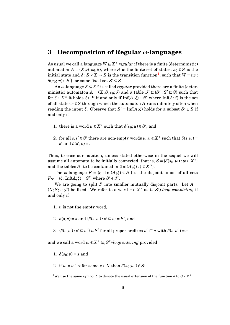### <span id="page-6-0"></span>**3 Decomposition of Regular** *ω***-languages**

As usual we call a language  $W \subseteq X^*$  *regular* if there is a finite (deterministic) automaton  $A = (X; S; s_0; \delta)$ , where *S* is the finite set of states,  $s_0 \in S$  is the  $\text{initial state and } \delta: S \times X \to S \text{ is the transition function}^1, \text{ such that } W = \{w: S \times X \to S \text{ is the transition function}^1\}$  $\text{initial state and } \delta: S \times X \to S \text{ is the transition function}^1, \text{ such that } W = \{w: S \times X \to S \text{ is the transition function}^1\}$  $\text{initial state and } \delta: S \times X \to S \text{ is the transition function}^1, \text{ such that } W = \{w: S \times X \to S \text{ is the transition function}^1\}$  $\delta(s_0; w) \in S'$ } for some fixed set  $S' \subseteq S$ .

An  $\omega$ -language  $F \subseteq X^{\omega}$  is called *regular* provided there are a finite (deterministic) automaton  $A = (X; S; s_0; \delta)$  and a table  $\mathcal{T} \subseteq \{S' : S' \subseteq S\}$  such that for  $\xi \in X^{\omega}$  it holds  $\xi \in F$  if and only if Inf( $A;\xi$ )  $\in \mathcal{T}$  where Inf( $A;\xi$ ) is the set of all states  $s \in S$  through which the automaton A runs infinitely often when reading the input *ξ*. Observe that  $S' = \text{Inf}(A;\xi)$  holds for a subset  $S' \subseteq S$  if and only if

- 1. there is a word  $u \in X^*$  such that  $\delta(s_0; u) \in S'$ , and
- 2. for all  $s, s' \in S'$  there are non-empty words  $w, v \in X^*$  such that  $\delta(s, w) =$  $s'$  and  $\delta(s', v) = s$ .

Thus, to ease our notation, unless stated otherwise in the sequel we will assume all automata to be initially connected, that is,  $S = \{\delta(s_0; w) : w \in X^*\}$ and the tables  $\mathcal{T}$  to be contained in {Inf( $A$ ; $\xi$ ):  $\xi \in X^{\omega}$  }.

The *ω*-language  $F = \{\xi : \text{Inf}(A;\xi) \in \mathcal{T}\}\$ is the disjoint union of all sets  $F_{S'} = \{\xi : \text{Inf}(A;\xi) = S'\}$  where  $S' \in \mathcal{T}$ .

We are going to split  $F$  into smaller mutually disjoint parts. Let  $A =$  $(X;S; s_0; \delta)$  be fixed. We refer to a word  $v \in X^*$  as  $(s;S')$ *-loop completing* if and only if

- 1. *v* is not the empty word,
- 2.  $\delta(s, v) = s$  and  $\{\delta(s, v') : v' \sqsubseteq v\} = S'$ , and
- 3.  $\{\delta(s, v') : v' \sqsubseteq v''\} \subset S'$  for all proper prefixes  $v'' \sqsubset v$  with  $\delta(s, v'') = s$ .

and we call a word  $w \in X^*$  ( $s$ ; *S'*)-loop entering provided

- 1.  $\delta(s_0; v) = s$  and
- 2. if  $w = w' \cdot x$  for some  $x \in X$  then  $\delta(s_0; w') \notin S'$ .

<span id="page-6-1"></span><sup>&</sup>lt;sup>1</sup>We use the same symbol  $\delta$  to denote the usual extension of the function  $\delta$  to  $S \times X^*$ .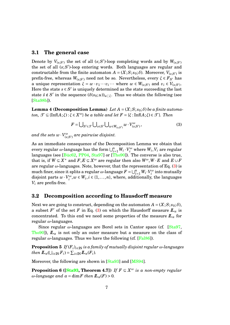#### <span id="page-7-0"></span>**3.1 The general case**

Denote by  $V_{(s;S')}$  the set of all  $(s;S')$ -loop completing words and by  $W_{(s;S')}$ the set of all  $(s;S')$ -loop entering words. Both languages are regular and constructable from the finite automaton  $A = (X; S; s_0; \delta)$ . Moreover,  $V_{(s;S')}$  is prefix-free, whereas  $W_{(s;S')}$  need not be so. Nevertheless, every  $\xi \in F_{S'}$  has a unique representation  $\xi = w \cdot v_1 \cdots v_i \cdots$  where  $w \in W_{(s;S')}$  and  $v_i \in V_{(s;S')}$ . Here the state  $s \in S'$  is uniquely determined as the state succeeding the last state  $\hat{s} \notin S'$  in the sequence  $(\delta(s_0; u))_{u \subset \xi}$ . Thus we obtain the following (see [\[Sta98b\]](#page-15-6)).

<span id="page-7-4"></span>**Lemma 4 (Decomposition Lemma)** Let  $A = (X; S; s_0; \delta)$  be a finite automa*ton,*  $\mathcal{T} \subseteq \{\text{Inf}(A;\xi): \xi \in X^{\omega}\}\$  *be a table and let*  $F = \{\xi: \text{Inf}(A;\xi) \in \mathcal{T}\}\$ *. Then* 

<span id="page-7-2"></span>
$$
F = \bigcup_{S' \in \mathcal{F}} \bigcup_{s \in S'} \bigcup_{w \in W_{(s;S')}} w \cdot V_{(s;S')}^{\omega},\tag{3}
$$

and the sets  $w\cdot V_{(s;S')}^{\omega}$  are pairwise disjoint.

As an immediate consequence of the Decomposition Lemma we obtain that  $\text{every regular } \omega\text{-language has the form } \bigcup_{i=1}^n W_i\cdot V_i^\omega \text{ where } W_i, V_i \text{ are regular.}$ languages (see [\[Büc62,](#page-14-0) [PP04,](#page-15-1) [Sta97\]](#page-15-8) or [\[Tho90\]](#page-15-0)). The converse is also true, that is, if  $W \subseteq X^*$  and  $F, E \subseteq X^\omega$  are regular then also  $W^\omega, W \cdot E$  and  $E \cup F$ are regular *ω*-languages. Note, however, that the representation of Eq. [\(3\)](#page-7-2) is  $m$ uch finer, since it splits a regular *ω*-language  $F = \bigcup_{i=1}^{n} W_i \cdot V_i^{\omega}$  into mutually disjoint parts  $w \cdot V_i^{\omega}, w \in W_i, i \in \{1, ..., n\}$ , where, additionally, the languages *V<sup>i</sup>* are prefix-free.

#### <span id="page-7-1"></span>**3.2 Decomposition according to Hausdorff measure**

Next we are going to construct, depending on the automaton  $A = (X; S; s_0; \delta)$ , a subset  $F'$  of the set  $F$  in Eq. [\(3\)](#page-7-2) on which the Hausdorff measure  $I\!I_{\alpha}$  is concentrated. To this end we need some properties of the measure  $\mathbf{L}_{\alpha}$  for regular *ω*-languages.

<span id="page-7-3"></span>Since regular *ω*-languages are Borel sets in Cantor space (cf. [\[Sta97,](#page-15-8) [Tho90\]](#page-15-0)),  $L_a$  is not only an outer measure but a measure on the class of regular *ω*-languages. Thus we have the following (cf. [\[Fal86\]](#page-14-6)).

**Proposition 5** *If*  $(F_i)_{i \in \mathbb{N}}$  *is a family of mutually disjoint regular*  $\omega$ *-languages then*  $\mathbf{L}_{\alpha}(\bigcup_{i \in \mathbb{N}} F_i) = \sum_{i \in \mathbb{N}} \mathbf{L}_{\alpha}(F_i)$ *.* 

Moreover, the following are shown in [\[Sta93\]](#page-15-5) and [\[MS94\]](#page-15-3).

**Proposition 6 ([\[Sta93,](#page-15-5) Theorem 4.7])** *If*  $F \subseteq X^{\omega}$  *is a non-empty regular ω*-language and  $\alpha$  = dim*F* then  $\mathbb{L}_{\alpha}(F) > 0$ .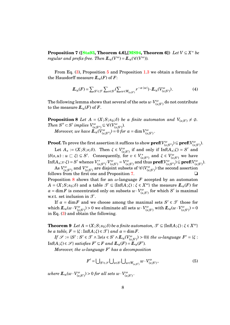<span id="page-8-0"></span>**Proposition 7 ([\[Sta93,](#page-15-5) Theorem 4.6],[\[MS94,](#page-15-3) Theorem 6])** *Let V* ⊆ *X* <sup>∗</sup> *be regular and prefix-free. Then*  $\mathbf{L}_{\alpha}(V^{\omega}) = \mathbf{L}_{\alpha}(\mathscr{C}(V^{\omega}))$ *.* 

From Eq. [\(3\)](#page-7-2), Proposition [5](#page-7-3) and Proposition [1.](#page-4-1)[3](#page-4-2) we obtain a formula for the Hausdorff measure  $\mathbb{L}_{\alpha}(F)$  of  $F$ :

<span id="page-8-1"></span>
$$
\underline{I\!I}_{\alpha}(F) = \sum_{S' \in \mathcal{F}} \sum_{s \in S'} (\sum_{w \in W_{(s;S')}} r^{-\alpha \cdot |w|}) \cdot \underline{I\!I}_{\alpha}(V_{(s;S')}^{\omega}). \tag{4}
$$

The following lemma shows that several of the sets  $w\cdot V_{(s;S')}^\omega$  do not contribute to the measure  $I\!I_{\alpha}(F)$  of  $F$ .

**Proposition 8** *Let*  $A = (X; S; s_0; \delta)$  *be a finite automaton and*  $V_{(s;S')} \neq \emptyset$ . *Then*  $S'' \subset S'$  implies  $V^{\omega}_{(s;S'')} \subseteq \mathscr{C}(V^{\omega}_{(s;S')}).$  $Moreover, we have \ \tilde{\bm{L}}_{\alpha}(V_{(s;S'')}^{\omega}) = 0 \ for \ \alpha = \dim V_{(s;S')}^{\omega}.$ 

 $\textbf{Proof.} \text{ To prove the first assertion it suffices to show } \textbf{pref}(V^{\omega}_{(s;S'')}) \subseteq \textbf{pref}(V^{\omega}_{(s;S')}).$ 

Let  $A_s := (X; S; s; \delta)$ . Then  $\zeta \in V^{\omega}_{(s;S')}$  if and only if  $\text{Inf}(A_s; \zeta) = S'$  and  $\{\delta(s, u): u \sqsubset \xi\} \subseteq S'$ . Consequently, for  $v \in V_{\epsilon}^*$  $\left(\begin{array}{c} K^*\\(s;S'')\end{array}\right)$  and  $\xi \in V^\omega_{(s;S')}$  we have Inf( $A_s$ ;  $v \cdot \xi$ ) =  $S'$  whence  $V_{(s)}^*$  $V^*_{(s;S'')}$ .  $V^{\omega}_{(s;S')} = V^{\omega}_{(s;S')}$  and thus  $\textbf{pref}(V^{\omega}_{(s;S'')}) \subseteq \textbf{pref}(V^{\omega}_{(s;S')}).$ 

 ${\rm As}~V_{(s;S'')}^\omega$  and  $V_{(s;S')}^\omega$  are disjoint subsets of  $\mathscr{C}(V_{(s;S')}^\omega)$  the second assertion follows from the first one and Proposition [7.](#page-8-0)  $\Box$ Proposition [8](#page-8-1) shows that for an *ω*-language *F* accepted by an automaton  $A = (X; S; s_0; \delta)$  and a table  $\mathcal{T} \subseteq \{\text{Inf}(A;\xi) : \xi \in X^\omega\}$  the measure  $I\!I\!I_\alpha(F)$  for  $\alpha = \dim F$  is concentrated only on subsets  $w \cdot V^{\omega}_{(s, S')}$  for which *S*<sup>'</sup> is maximal w.r.t. set inclusion in  $\mathcal{T}$ .

If  $\alpha = \dim F$  and we choose among the maximal sets  $S' \in \mathcal{T}$  those for which  $L_a(w \cdot V_{(s;S')}^{\omega}) > 0$  we eliminate all sets  $w \cdot V_{(s;S')}^{\omega}$  with  $L_a(w \cdot V_{(s;S')}^{\omega}) = 0$ in Eq. [\(3\)](#page-7-2) and obtain the following.

**Theorem 9** *Let*  $A = (X; S; s_0; \delta)$  *be a finite automaton,*  $\mathcal{T} \subseteq \{\text{Inf}(A; \xi) : \xi \in X^\omega\}$ *be a table,*  $F = \{\xi : \text{Inf}(A;\xi) \in \mathcal{T}\}\$  *and*  $\alpha = \dim F$ .

 $If$   $\mathscr{S}$  := { $S' : S' \in \mathscr{T} \land \exists s (s \in S' \land \mathbb{L}_{\alpha}(V_{(s,S')}^{\omega}) > 0)$ } *the ω-language*  $F' = \{\xi : S \in \mathscr{T} \land \exists s (s \in S' \land \mathbb{L}_{\alpha}(V_{(s,S')}^{\omega}) > 0)$ }  $\text{Inf}(A;\xi) \in \mathcal{S}$  *satisfies*  $F' \subseteq F$  *and*  $\mathbb{L}_\alpha(F) = \mathbb{L}_\alpha(F')$ .

*Moreover, the ω-language F* <sup>0</sup> *has a decomposition*

<span id="page-8-3"></span><span id="page-8-2"></span>
$$
F' = \bigcup_{S' \in \mathcal{S}} \bigcup_{s \in S'} \bigcup_{w \in W_{(s;S')}} w \cdot V_{(s;S')}^{\omega},\tag{5}
$$

 $where \ L\!\!\!L_{\alpha}(w \cdot V_{(s;S')}^{\omega}) > 0 for \ all \ sets \ w \cdot V_{(s;S')}^{\omega}.$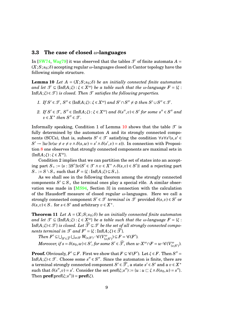#### <span id="page-9-0"></span>**3.3 The case of closed** *ω***-languages**

<span id="page-9-1"></span>In [\[SW74,](#page-15-7) [Wag79\]](#page-16-0) it was observed that the tables  $\mathcal T$  of finite automata  $A =$ (*X*;*S*; *s*0;*δ*) accepting regular *ω*-languages closed in Cantor topology have the following simple structure.

**Lemma 10** *Let*  $A = (X; S; s_0; \delta)$  *be an initially connected finite automaton and let*  $\mathcal{T} \subseteq \{\text{Inf}(A;\xi): \xi \in X^{\omega}\}\$  *be a table such that the w-language*  $F = \{\xi: \xi\}$ Inf $(A;\xi) \in \mathcal{T}$  *is closed. Then*  $\mathcal T$  *satisfies the following properties.* 

- *1. If*  $S' \in \mathcal{T}$ ,  $S'' \in \{Inf(A; \xi) : \xi \in X^{\omega} \}$  and  $S' \cap S'' \neq \emptyset$  then  $S' \cup S'' \in \mathcal{T}$ .
- *2. If*  $S' \in \mathcal{T}$ ,  $S'' \in \{\text{Inf}(A;\xi): \xi \in X^{\omega}\}\$  *and*  $\delta(s'',v) \in S'$  for some  $s'' \in S''$  and  $v \in X^*$  then  $S'' \in \mathcal{T}$ .

Informally speaking, Condition 1 of Lemma [10](#page-9-1) shows that the table  $\mathcal{T}$  is fully determined by the automaton *A* and its strongly connected components (SCCs), that is, subsets  $S' \in \mathcal{T}$  satisfying the condition  $\forall s \forall s' (s, s' \in$  $S' \to \exists w \exists v (w \neq e \neq v \land \delta(s, w) = s' \land \delta(s', v) = s)$ ). In connection with Proposition [8](#page-8-1) one observes that strongly connected components are maximal sets in { $Inf(A; \xi) : \xi \in X^{\omega}$  }.

Condition 2 implies that we can partition the set of states into an accepting part  $S_+ := \{s : \exists S' \exists v (S' \in \mathcal{T} \land v \in X^* \land \delta(s, v) \in S')\}$  and a rejecting part *S*− := *S* \ *S*<sub>+</sub> such that *F* = {*ξ* : Inf(*A*;*ξ*) ⊆ *S*<sub>+</sub>}.

As we shall see in the following theorem among the strongly connected components  $S' \subseteq S_+$  the terminal ones play a special rôle. A similar observation was made in [\[MS94,](#page-15-3) Section 3] in connection with the calculation of the Hausdorff measure of closed regular *ω*-languages. Here we call a strongly connected component  $S' \in \mathcal{T}$  *terminal in*  $\mathcal{T}$  provided  $\delta(s, v) \in S'$  or  $\delta(s, v) \in S$  for  $s \in S'$  and arbitrary  $v \in X^*$ .

**Theorem 11** *Let*  $A = (X; S; s_0; \delta)$  *be an initially connected finite automaton and let*  $\mathcal{T} \subseteq \{\text{Inf}(A;\xi): \xi \in X^{\omega}\}\$  *be a table such that the w-language*  $F = \{\xi: \xi\}$ Inf $(A;\xi) \in \mathcal{T}$  *is closed. Let*  $\widehat{\mathcal{T}} \subseteq \mathcal{T}$  *be the set of all strongly connected components terminal in*  $\mathcal{T}$  *and*  $F' = \{\xi : \text{Inf}(A;\xi) \in \widehat{\mathcal{T}}\}.$ 

<span id="page-9-2"></span>*Then*  $F' \subseteq \bigcup_{S' \in \widehat{\mathcal{F}}} \bigcup_{s \in S'} W_{(s;S')} \cdot \mathcal{C}(V_{(s;S')}^{\omega}) \subseteq F = \mathcal{C}(F').$  $Moreover, if s = \delta(s_0, w) \in S', for some s' \in \widehat{\mathcal{F}}, then w \cdot X^{\omega} \cap F = w \cdot \mathscr{C}(V_{(s;S')}^{\omega}).$ 

**Proof.** Obviously,  $F' \subseteq F$ . First we show that  $F \subseteq \mathscr{C}(F')$ . Let  $\xi \in F$ . Then  $S'' =$ Inf( $A; \xi$ )  $\in \mathcal{T}$ . Choose some  $s'' \in S''$ . Since the automaton is finite, there are a terminal strongly connected component  $S' \in \widehat{\mathcal{F}}$ , a state  $s' \in S'$  and a  $v \in X^*$ such that  $\delta(s'', v) = s'$ . Consider the set  $\text{pref}(\xi; s'') := \{u : u \sqsubset \xi \wedge \delta(s_0, u) = s''\}.$ Then  $\textbf{pref}(\text{pref}(\xi;s'')) = \textbf{pref}(\xi)$ .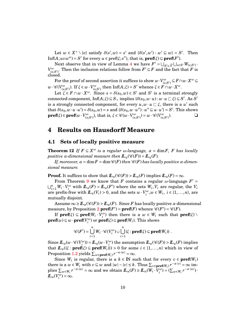Let  $w \in X^* \setminus \{e\}$  satisfy  $\delta(s', w) = s'$  and  $\{\delta(s', w') : w' \subseteq w\} = S'$ . Then  $\text{Inf}(A; uvw^{\omega}) = S'$  for every  $u \in \text{pref}(\xi; s'')$ , that is,  $\text{pref}(\xi) \subseteq \text{pref}(F')$ .

Next observe that in view of Lemma [4](#page-7-4) we have  $F' = \bigcup_{S' \in \widehat{\mathcal{F}}} \bigcup_{s \in S'} W_{(s;S')}$ .  $V^{\omega}_{(s,S')}$ . Then the inclusion relations follow from  $F' \subseteq F$  and the fact that *F* is closed.

 $\text{For the proof of second assertion it suffices to show } w \cdot V_{(s;S')}^{\omega} \subseteq F \cap w \cdot X^{\omega} \subseteq$  $w \cdot \mathscr{C}(V_{(s;S')}^{\omega})$ . If  $\xi \in w \cdot V_{(s;S')}^{\omega}$  then Inf(*A*; $\xi$ ) = *S*' whence  $\xi \in F \cap w \cdot X^{\omega}$ .

Let  $\zeta \in F \cap w \cdot X^{\omega}$ . Since  $s = \delta(s_0, w) \in S'$  and S' is a terminal strongly  $\text{connected component}, \text{Inf}(A;\xi) \subseteq S_+ \text{ implies } \{\delta(s_0,w\cdot u): w\cdot u \sqsubset \xi\} \subseteq S'. \text{ As } S'$ is a strongly connected component, for every  $u, w \cdot u \subset \xi$ , there is a  $u'$  such that  $\delta(s_0, w \cdot u \cdot u') = \delta(s_0, w) = s$  and  $\{\delta(s_0, w \cdot u'') : u'' \sqsubseteq u \cdot u'\} = S'$ . This shows  $\mathbf{pref}(\xi) \in \mathbf{pref}(w \cdot V_{(s;S')}^{\omega})$ , that is,  $\xi \in \mathscr{C}(w \cdot V_{(s;S')}^{\omega}) = w \cdot \mathscr{C}(V_{(s;S')}^{\omega})$  $\Box$ 

## <span id="page-10-0"></span>**4 Results on Hausdorff Measure**

#### <span id="page-10-1"></span>**4.1 Sets of locally positive measure**

<span id="page-10-2"></span>**Theorem 12** *If*  $F \subseteq X^{\omega}$  *is a regular*  $\omega$ *-language,*  $\alpha = \dim F$ *, F has locally positive*  $\alpha$ *-dimensional measure then*  $\mathbb{L}_{\alpha}(\mathscr{C}(F)) = \mathbb{L}_{\alpha}(F)$ *.* 

*If, moreover,*  $\alpha = \dim F = \dim \mathcal{C}(F)$  *then*  $\mathcal{C}(F)$  *has locally positive*  $\alpha$ *-dimensional measure.*

**Proof.** It suffices to show that  $I\!I_{\alpha}(\mathcal{C}(F)) > I\!I_{\alpha}(F)$  implies  $I\!I_{\alpha}(F) = \infty$ .

From Theorem [9](#page-8-2) we know that *F* contains a regular  $\omega$ -language  $F' =$  $\bigcup_{i=1}^{n} W_i \cdot V_i^{\omega}$  with  $I\!I\!I_{\alpha}(F) = I\!I\!I_{\alpha}(F')$  where the sets  $W_i, V_i$  are regular, the  $V_i$ are prefix-free with  $I\!I\!I_{\alpha}(V_i) > 0$ , and the sets  $w \cdot V_i^{\omega}, w \in W_i$ ,  $i \in \{1, ..., n\}$ , are mutually disjoint.

Assume  $\infty \ge L_{\alpha}(\mathscr{C}(F)) > L_{\alpha}(F)$ . Since *F* has locally positive *α*-dimensional measure, by Proposition [2](#page-5-1)  $\textbf{pref}(F') = \textbf{pref}(F)$  whence  $\mathscr{C}(F') = \mathscr{C}(F)$ .

If  $\textbf{pref}(\xi) \subseteq \textbf{pref}(W_i \cdot V_i^{\omega})$  then there is a  $w \in W_i$  such that  $\textbf{pref}(\xi) \setminus$  $\textbf{pref}(w) \subseteq w \cdot \textbf{pref}(V_i^{\omega}) \text{ or } \textbf{pref}(\xi) \subseteq \textbf{pref}(W_i)$ . This shows

$$
\mathscr{C}(F') = \bigcup_{i=1}^n W_i \cdot \mathscr{C}(V_i^{\omega}) \cup \bigcup_{i=1}^n \{ \xi : \mathbf{pref}(\xi) \subseteq \mathbf{pref}(W_i) \} .
$$

Since  $\mathcal{L}_{\alpha}(w \cdot \mathcal{C}(V_i^{\omega})) = \mathcal{L}_{\alpha}(w \cdot V_i^{\omega})$  the assumption  $\mathcal{L}_{\alpha}(\mathcal{C}(F)) > \mathcal{L}_{\alpha}(F)$  implies that  $\mathbf{L}_{\alpha}(\{\xi : \mathbf{pref}(\xi) \subseteq \mathbf{pref}(W_i)\}) > 0$  for some  $i \in \{1,\ldots,n\}$  which in view of Proposition [1.](#page-4-1)[2](#page-4-3) yields  $\sum_{w \in \textbf{pref}(W_i)} r^{-\alpha \cdot |w|} = \infty$ .

Since  $W_i$  is regular, there is a  $k \in \mathbb{N}$  such that for every  $v \in \textbf{pref}(W_i)$ there is a  $w \in W_i$  with  $v \sqsubseteq w$  and  $|w| - |v| \leq k$ . Thus  $\sum_{v \in \textbf{pref}(W_i)} r^{-\alpha \cdot |v|} = \infty$  implies  $\sum_{w \in W_i} r^{-\alpha \cdot |w|} = \infty$  and we obtain  $I\!I\!I_{\alpha}(F) \geq I\!I\!I_{\alpha}(W_i \cdot V_i^{\omega}) = (\sum_{w \in W_i} r^{-\alpha \cdot |w|})$ .  $L_{\alpha}(V_i^{\omega}) = \infty$ .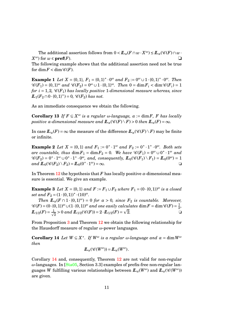The additional assertion follows from  $0 < I\!\!L_{\alpha}(F \cap w \cdot X^{\omega}) \leq I\!\!L_{\alpha}(\mathscr{C}(F) \cap w \cdot X^{\omega})$  $X^{\omega}$ ) for  $w \in \textbf{pref}(F)$ .

The following example shows that the additional assertion need not be true for  $\dim F < \dim \mathcal{C}(F)$ .

**Example 1** *Let*  $X = \{0, 1\}$ ,  $F_1 = \{0, 1\}^* \cdot 0^\omega$  *and*  $F_2 := 0^\omega \cup 1 \cdot \{0, 1\}^* \cdot 0^\omega$ . Then  $\mathscr{C}(F_1) = \{0,1\}^\omega$  and  $\mathscr{C}(F_2) = 0^\omega \cup 1 \cdot \{0,1\}^\omega$ . Then  $0 = \dim F_i < \dim \mathscr{C}(F_i) = 1$ *for*  $i = 1, 2, \mathcal{C}(F_1)$  *has locally positive* 1-dimensional measure whereas, since  $L_1(F_2 \cap 0 \cdot \{0,1\}^*) = 0$ ,  $\mathscr{C}(F_2)$  has not.

As an immediate consequence we obtain the following.

**Corollary 13** *If*  $F \subseteq X^{\omega}$  *is a regular*  $\omega$ *-language,*  $\alpha := \dim F$ *, F has locally positive*  $\alpha$ *-dimensional measure and*  $\mathbb{L}_{\alpha}(\mathscr{C}(F) \setminus F) > 0$  *then*  $\mathbb{L}_{\alpha}(F) = \infty$ *.* 

In case  $\mathbb{L}_{a}(F) = \infty$  the measure of the difference  $\mathbb{L}_{a}(\mathscr{C}(F) \setminus F)$  may be finite or infinite.

**Example 2** Let  $X = \{0, 1\}$  and  $F_1 := 0^* \cdot 1^\omega$  and  $F_2 := 0^* \cdot 1^* \cdot 0^\omega$ . Both sets  $are \ countable, \ thus \ \dim F_1 = \dim F_2 = 0.$  We have  $\mathscr{C}(F_1) = 0^\omega \cup 0^* \cdot 1^\omega$  and  $\mathscr{C}(F_2) = 0^* \cdot 1^{\omega} \cup 0^* \cdot 1^* \cdot 0^{\omega}$ , and, consequently,  $I\!I\!I_0(\mathscr{C}(F_1) \setminus F_1) = I\!I_0(0^{\omega}) = 1$  $and \ I\!I_{0}(\mathscr{C}(F_2) \setminus F_2) = I\!I_{0}(0^* \cdot 1^{\omega}) = \infty.$ 

In Theorem [12](#page-10-2) the hypothesis that *F* has locally positive  $\alpha$ -dimensional measure is essential. We give an example.

**Example 3** *Let*  $X = \{0, 1\}$  *and*  $F := F_1 \cup F_2$  *where*  $F_1 = (0 \cdot \{0, 1\})^{\omega}$  *is a closed*  $set$  and  $F_2 = (1 \cdot \{0, 1\})^* \cdot (10)^{\omega}$ .

*Then*  $\mathbb{L}_{\alpha}(F \cap 1 \cdot \{0,1\}^{\omega}) = 0$  *for*  $\alpha > 0$ *, since*  $F_2$  *is countable. Moreover,*  $\mathscr{C}(F) = (0\cdot\{0,1\})^{\omega} \cup (1\cdot\{0,1\})^{\omega}$  and one easily calculates  $\dim F = \dim \mathscr{C}(F) = \frac{1}{2}$  $lculates\ \dim F = \dim \mathscr{C}(F) = \frac{1}{2},$  $L_{1/2}(F) = \frac{1}{\sqrt{2}}$  $\frac{1}{2} > 0$  and  $I\!I\!I_{1/2}(\mathscr{C}(F)) = 2 \cdot I\!I_{1/2}(F) =$  $\overline{2}$ .

From Proposition [3](#page-5-2) and Theorem [12](#page-10-2) we obtain the following relationship for the Hausdorff measure of regular *ω*-power languages.

**Corollary 14** *Let*  $W \subseteq X^*$ . If  $W^{\omega}$  is a regular  $\omega$ -language and  $\alpha = \dim W^{\omega}$ *then*

<span id="page-11-0"></span>
$$
\mathbf{L}_{\alpha}(\mathscr{C}(W^{\omega}))=\mathbf{L}_{\alpha}(W^{\omega}).
$$

Corollary [14](#page-11-0) and, consequently, Theorem [12](#page-10-2) are not valid for non-regular *ω*-languages. In [\[Sta05,](#page-15-9) Section 3.3] examples of prefix-free non-regular languages *W* fulfilling various relationships between  $I\!I_{\alpha}(W^{\omega})$  and  $I\!I_{\alpha}(\mathscr{C}(W^{\omega}))$ are given.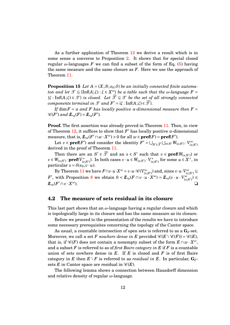As a further application of Theorem [12](#page-10-2) we derive a result which is in some sense a converse to Proposition [2.](#page-5-1) It shows that for special closed regular  $\omega$ -languages F we can find a subset of the form of Eq. [\(5\)](#page-8-3) having the same measure and the same closure as *F*. Here we use the approach of Theorem [11.](#page-9-2)

<span id="page-12-2"></span>**Proposition 15** *Let*  $A = (X; S; s_0; \delta)$  *be an initially connected finite automaton and let*  $\mathcal{T} \subseteq \{\text{Inf}(A;\xi): \xi \in X^{\omega}\}\$  *be a table such that the*  $\omega$ *-language*  $F =$  ${\mathcal{F}}$ : Inf( $A; \xi$ )  $\in \mathcal{T}$  *is closed. Let*  $\widehat{\mathcal{T}} \subseteq \mathcal{T}$  *be the set of all strongly connected components terminal in*  $\mathcal{T}$  *and*  $F' = \{ \xi : \text{Inf}(A; \xi) \in \widehat{\mathcal{T}} \}.$ 

*If* dim  $F = \alpha$  and F has locally positive  $\alpha$ -dimensional measure then  $F =$  $\mathcal{C}(F')$  and  $\mathcal{L}_{\alpha}(F) = \mathcal{L}_{\alpha}(F')$ .

**Proof.** The first assertion was already proved in Theorem [11.](#page-9-2) Then, in view of Theorem [12,](#page-10-2) it suffices to show that  $F'$  has locally positive  $\alpha$ -dimensional  $\text{measure, that is, } \mathcal{L}_{\alpha}(F' \cap w \cdot X^{\omega}) > 0 \text{ for all } w \in \textbf{pref}(F) = \textbf{pref}(F').$ 

Let  $v \in \textbf{pref}(F')$  and consider the identity  $F' = \bigcup_{S' \in \widehat{\mathcal{F}}} \bigcup_{s \in S'} W_{(s;S')} \cdot V_{(s;S')}^{\omega}$ derived in the proof of Theorem [11.](#page-9-2)

Then there are an  $S' \in \widehat{\mathcal{F}}$  and an  $s \in S'$  such that  $v \in \textbf{pref}(W_{(s,S')})$  or *v* ∈ *W*<sub>(*s*;*S'*)</sub> · **pref**( $V$ <sup>\*</sup><sub>(*s*</sub>)  $(s;S')$ ). In both cases  $v \cdot u \in W_{(s;S')} \cdot V_{(s)}^*$  $\left(\begin{array}{c}\n\overrightarrow{s}}\n\overrightarrow{s} \\
\overrightarrow{s} \\
\overrightarrow{s}\n\end{array}\right)$  for some  $u \in X^*$ , in particular  $s = \delta(s_0, v \cdot u)$ .

 $\text{By Theorem 11 we have } \begin{equation} F \cap v \cdot u \cdot X^\omega = v \cdot u \cdot \mathscr{C}(V^\omega_{(s;S')}) \text{ and, since } v \cdot u \cdot V^\omega_{(s;S')} \subseteq \end{equation}$  $\text{By Theorem 11 we have } \begin{equation} F \cap v \cdot u \cdot X^\omega = v \cdot u \cdot \mathscr{C}(V^\omega_{(s;S')}) \text{ and, since } v \cdot u \cdot V^\omega_{(s;S')} \subseteq \end{equation}$  $\text{By Theorem 11 we have } \begin{equation} F \cap v \cdot u \cdot X^\omega = v \cdot u \cdot \mathscr{C}(V^\omega_{(s;S')}) \text{ and, since } v \cdot u \cdot V^\omega_{(s;S')} \subseteq \end{equation}$ *F'*, with Proposition [8](#page-8-1) we obtain  $0 < I\!\!L_{\alpha}(F \cap v \cdot u \cdot X^{\omega}) = I\!\!L_{\alpha}(v \cdot u \cdot V^{\omega}_{(s;S)}) \leq$  $L_{\alpha}(F' \cap v \cdot X)$ *<sup>ω</sup>*). ❏

#### <span id="page-12-0"></span>**4.2 The measure of sets residual in its closure**

This last part shows that an *ω*-language having a regular closure and which is topologically large in its closure and has the same measure as its closure.

Before we proceed to the presentation of the results we have to introduce some necessary prerequisites concerning the topology of the Cantor space.

As usual, a countable intersection of open sets is referred to as a  $\mathbf{G}_{\delta}$ -set. Moreover, we call a set *F* nowhere dense in *E* provided  $\mathscr{C}(E \setminus \mathscr{C}(F)) = \mathscr{C}(E)$ , that is, if  $\mathscr{C}(F)$  does not contain a nonempty subset of the form  $E \cap w \cdot X^{\omega}$ , and a subset *F* is referred to as of *first Baire category in E* if *F* is a countable union of sets nowhere dense in *E*. If *E* is closed and *F* is of first Baire category in *E* then  $E \setminus F$  is referred to as *residual in E*. In particular,  $G_{\delta}$ sets *E* in Cantor space are residual in  $\mathcal{C}(E)$ .

<span id="page-12-1"></span>The following lemma shows a connection between Hausdorff dimension and relative density of regular *ω*-language.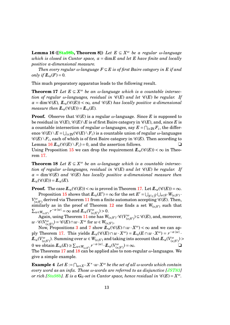**Lemma 16 ([\[Sta98b,](#page-15-6) Theorem 8])** *Let E* ⊆ *X <sup>ω</sup> be a regular ω-language which is closed in Cantor space,*  $\alpha = \dim E$  *and let*  $E$  *have finite and locally positive α-dimensional measure.*

*Then every regular*  $\omega$ *-language*  $F \subseteq E$  *is of first Baire category in*  $E$  *if and only if*  $\mathbb{L}_{\alpha}(F) = 0$ *.* 

<span id="page-13-0"></span>This much preparatory apparatus leads to the following result.

**Theorem 17** *Let*  $E \subseteq X^{\omega}$  *be an*  $\omega$ *-language which is a countable intersection of regular*  $\omega$ -languages, residual in  $\mathcal{C}(E)$  and let  $\mathcal{C}(E)$  be regular. If  $\alpha = \dim \mathscr{C}(E)$ ,  $\mathbb{L}_{\alpha}(\mathscr{C}(E)) < \infty$ , and  $\mathscr{C}(E)$  has locally positive  $\alpha$ -dimensional *measure then*  $\mathbb{L}_{\alpha}(\mathscr{C}(E)) = \mathbb{L}_{\alpha}(E)$ .

**Proof.** Observe that  $\mathcal{C}(E)$  is a regular  $\omega$ -language. Since E is supposed to be residual in  $\mathscr{C}(E), \mathscr{C}(E) \backslash E$  is of first Baire category in  $\mathscr{C}(E)$ , and, since *E* is a countable intersection of regular  $\omega$ -languages, say  $E = \bigcap_{i \in \mathbb{N}} F_i$ , the difference  $\mathscr{C}(E) \setminus E = \bigcup_{i \in \mathbb{N}} (\mathscr{C}(E) \setminus F_i)$  is a countable union of regular  $\omega$ -languages  $\mathscr{C}(E)\!\setminus\!F_i,$  each of which is of first Baire category in  $\mathscr{C}(E).$  Then according to Lemma  $16 L_a(\mathcal{C}(E) \setminus F_i) = 0$  $16 L_a(\mathcal{C}(E) \setminus F_i) = 0$ , and the assertion follows.  $\Box$ Using Proposition [15](#page-12-2) we can drop the requirement  $\mathbb{L}_{a}(\mathscr{C}(E)) < \infty$  in Theo-

<span id="page-13-1"></span>rem [17.](#page-13-0)

**Theorem 18** *Let*  $E \subseteq X^{\omega}$  *be an*  $\omega$ *-language which is a countable intersection of regular*  $\omega$ -languages, residual in  $\mathcal{C}(E)$  and let  $\mathcal{C}(E)$  be regular. If  $\alpha = \dim \mathcal{C}(E)$  *and*  $\mathcal{C}(E)$  *has locally positive α-dimensional measure then*  $I\!\!L_{\alpha}(\mathscr{C}(E)) = I\!\!L_{\alpha}(E)$ .

**Proof.** The case  $\mathbb{L}_a(\mathscr{C}(E)) < \infty$  is proved in Theorem [17.](#page-13-0) Let  $\mathbb{L}_a(\mathscr{C}(E)) = \infty$ .

Proposition [15](#page-12-2) shows that  $I\!I_{\alpha}(E') = \infty$  for the set  $E' = \bigcup_{S' \in \widehat{\mathcal{F}}} \bigcup_{s \in S'} W_{(s;S')}$ .  $V^{\omega}_{(s;S')}$  derived via Theorem  $11$  from a finite automaton accepting  $\mathscr{C}(E).$  Then, similarly as in the proof of Theorem  $12$  one finds a set  $W_{(s;S')}$  such that  $\sum_{w \in W_{(s,S')}} r^{-\alpha \cdot |w|} = \infty$  and  $\mathcal{L}_{\alpha}(V^{\omega}_{(s,S')}) > 0$ .

 $\mathrm{Again, using Theorem 11}$  $\mathrm{Again, using Theorem 11}$  $\mathrm{Again, using Theorem 11}$  one has  $W_{(s;S')}$   $\mathscr{C}(V_{(s;S')}^{\omega}) \subseteq \mathscr{C}(E)$ , and, moreover,  $w \cdot \mathscr{C}(V_{(s;S')}^{\omega}) = \mathscr{C}(E) \cap w \cdot X^{\omega}$  for  $w \in W_{(s;S')}$ .

Now, Propositions [3](#page-4-2) and [7](#page-8-0) show  $I\!I\!I_{\alpha}(\mathscr{C}(E) \cap w \cdot X^{\omega}) < \infty$  and we can ap $p$ ly Theorem [17.](#page-13-0) This yields  $I\!I\!I_{\alpha}(\mathscr{C}(E) \cap w \cdot X^{\omega}) = I\!I\!I_{\alpha}(E \cap w \cdot X^{\omega}) = r^{-\alpha \cdot |w|}$ .  $I\!\!L_{\alpha}(V_{(s;S')}^{\omega})$ . Summing over  $w \in W_{(s;S')}$  and taking into account that  $I\!\!L_{\alpha}(V_{(s;S')}^{\omega})$  > 0 we obtain  $\mathbb{L}_{\alpha}(E) \ge \sum_{w \in W_{(s,S')}} r^{-\alpha \cdot |w|} \cdot \mathbb{L}_{\alpha}(V_{(s,S')}^{\omega}) = \infty.$ The Theorems [17](#page-13-0) and [18](#page-13-1) can be applied also to non-regular *ω*-languages. We give a simple example.

**Example 4** Let  $E := \bigcap_{w \in X^*} X^* \cdot w \cdot X^{\omega}$  be the set of all  $\omega$ -words which contain *every word as an infix. Those ω-words are referred to as disjunctive [\[JST83\]](#page-14-7) or rich [\[Sta98b\]](#page-15-6).*  $E$  *is a*  $G_{\delta}$ -set in Cantor space, hence residual in  $\mathscr{C}(E) = X^{\omega}$ .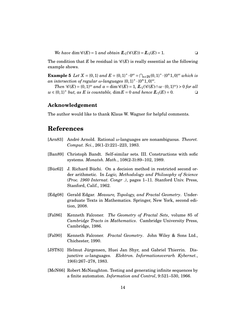*We have* dim  $\mathcal{C}(E) = 1$  *and obtain*  $\mathcal{L}_1(\mathcal{C}(E)) = \mathcal{L}_1(E) = 1$ .

The condition that *E* be residual in  $\mathcal{C}(E)$  is really essential as the following example shows.

**Example 5** *Let*  $X = \{0, 1\}$  *and*  $E = \{0, 1\}^* \cdot 0^{\omega} = \bigcap_{n \in \mathbb{N}} \{0, 1\}^* \cdot \{0^n 1, 0\}^{\omega}$  *which is*  $an$  intersection of regular  $\omega$ -languages  $\{0, 1\}^* \cdot \{0^n 1, 0\}^\omega$ .

*Then*  $\mathscr{C}(E) = \{0,1\}^\omega$  *and*  $\alpha = \dim \mathscr{C}(E) = 1$ ,  $\mathbb{L}_1(\mathscr{C}(E) \cap w \cdot \{0,1\}^\omega) > 0$  for all  $w \in \{0,1\}^*$  *but, as*  $E$  *is countable,*  $\dim E = 0$  *and hence*  $\mathbb{L}_1(E) = 0$ .

#### **Acknowledgement**

The author would like to thank Klaus W. Wagner for helpful comments.

## **References**

- <span id="page-14-4"></span>[Arn83] André Arnold. Rational *ω*-languages are nonambiguous. *Theoret. Comput. Sci.*, 26(1-2):221–223, 1983.
- <span id="page-14-1"></span>[Ban89] Christoph Bandt. Self-similar sets. III. Constructions with sofic systems. *Monatsh. Math.*, 108(2-3):89–102, 1989.
- <span id="page-14-0"></span>[Büc62] J. Richard Büchi. On a decision method in restricted second order arithmetic. In *Logic, Methodology and Philosophy of Science (Proc. 1960 Internat. Congr .)*, pages 1–11. Stanford Univ. Press, Stanford, Calif., 1962.
- <span id="page-14-2"></span>[Edg08] Gerald Edgar. *Measure, Topology, and Fractal Geometry*. Undergraduate Texts in Mathematics. Springer, New York, second edition, 2008.
- <span id="page-14-6"></span>[Fal86] Kenneth Falconer. *The Geometry of Fractal Sets*, volume 85 of *Cambridge Tracts in Mathematics*. Cambridge University Press, Cambridge, 1986.
- <span id="page-14-5"></span>[Fal90] Kenneth Falconer. *Fractal Geometry*. John Wiley & Sons Ltd., Chichester, 1990.
- <span id="page-14-7"></span>[JST83] Helmut Jürgensen, Huei Jan Shyr, and Gabriel Thierrin. Disjunctive *ω*-languages. *Elektron. Informationsverarb. Kybernet.*, 19(6):267–278, 1983.
- <span id="page-14-3"></span>[McN66] Robert McNaughton. Testing and generating infinite sequences by a finite automaton. *Information and Control*, 9:521–530, 1966.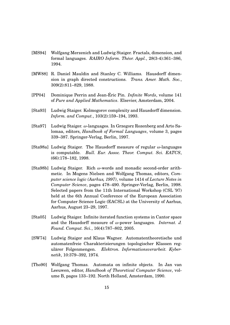- <span id="page-15-3"></span>[MS94] Wolfgang Merzenich and Ludwig Staiger. Fractals, dimension, and formal languages. *RAIRO Inform. Théor. Appl.*, 28(3-4):361–386, 1994.
- <span id="page-15-2"></span>[MW88] R. Daniel Mauldin and Stanley C. Williams. Hausdorff dimension in graph directed constructions. *Trans. Amer. Math. Soc.*, 309(2):811–829, 1988.
- <span id="page-15-1"></span>[PP04] Dominique Perrin and Jean-Éric Pin. *Infinite Words*, volume 141 of *Pure and Applied Mathematics*. Elsevier, Amsterdam, 2004.
- <span id="page-15-5"></span>[Sta93] Ludwig Staiger. Kolmogorov complexity and Hausdorff dimension. *Inform. and Comput.*, 103(2):159–194, 1993.
- <span id="page-15-8"></span>[Sta97] Ludwig Staiger. *ω*-languages. In Grzegorz Rozenberg and Arto Salomaa, editors, *Handbook of Formal Languages*, volume 3, pages 339–387. Springer-Verlag, Berlin, 1997.
- <span id="page-15-4"></span>[Sta98a] Ludwig Staiger. The Hausdorff measure of regular *ω*-languages is computable. *Bull. Eur. Assoc. Theor. Comput. Sci. EATCS*, (66):178–182, 1998.
- <span id="page-15-6"></span>[Sta98b] Ludwig Staiger. Rich *ω*-words and monadic second-order arithmetic. In Mogens Nielsen and Wolfgang Thomas, editors, *Computer science logic (Aarhus, 1997)*, volume 1414 of *Lecture Notes in Computer Science*, pages 478–490. Springer-Verlag, Berlin, 1998. Selected papers from the 11th International Workshop (CSL '97) held at the 6th Annual Conference of the European Association for Computer Science Logic (EACSL) at the University of Aarhus, Aarhus, August 23–29, 1997.
- <span id="page-15-9"></span>[Sta05] Ludwig Staiger. Infinite iterated function systems in Cantor space and the Hausdorff measure of *ω*-power languages. *Internat. J. Found. Comput. Sci.*, 16(4):787–802, 2005.
- <span id="page-15-7"></span>[SW74] Ludwig Staiger and Klaus Wagner. Automatentheoretische und automatenfreie Charakterisierungen topologischer Klassen regulärer Folgenmengen. *Elektron. Informationsverarbeit. Kybernetik*, 10:379–392, 1974.
- <span id="page-15-0"></span>[Tho90] Wolfgang Thomas. Automata on infinite objects. In Jan van Leeuwen, editor, *Handbook of Theoretical Computer Science*, volume B, pages 133–192. North Holland, Amsterdam, 1990.